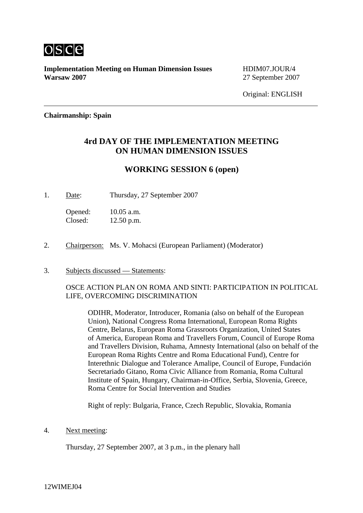

**Implementation Meeting on Human Dimension Issues** HDIM07.JOUR/4 **Warsaw 2007** 27 September 2007

Original: ENGLISH

## **Chairmanship: Spain**

## **4rd DAY OF THE IMPLEMENTATION MEETING ON HUMAN DIMENSION ISSUES**

## **WORKING SESSION 6 (open)**

1. Date: Thursday, 27 September 2007

Opened: 10.05 a.m. Closed: 12.50 p.m.

- 2. Chairperson: Ms. V. Mohacsi (European Parliament) (Moderator)
- 3. Subjects discussed Statements:

OSCE ACTION PLAN ON ROMA AND SINTI: PARTICIPATION IN POLITICAL LIFE, OVERCOMING DISCRIMINATION

ODIHR, Moderator, Introducer, Romania (also on behalf of the European Union), National Congress Roma International, European Roma Rights Centre, Belarus, European Roma Grassroots Organization, United States of America, European Roma and Travellers Forum, Council of Europe Roma and Travellers Division, Ruhama, Amnesty International (also on behalf of the European Roma Rights Centre and Roma Educational Fund), Centre for Interethnic Dialogue and Tolerance Amalipe, Council of Europe, Fundación Secretariado Gitano, Roma Civic Alliance from Romania, Roma Cultural Institute of Spain, Hungary, Chairman-in-Office, Serbia, Slovenia, Greece, Roma Centre for Social Intervention and Studies

Right of reply: Bulgaria, France, Czech Republic, Slovakia, Romania

4. Next meeting:

Thursday, 27 September 2007, at 3 p.m., in the plenary hall